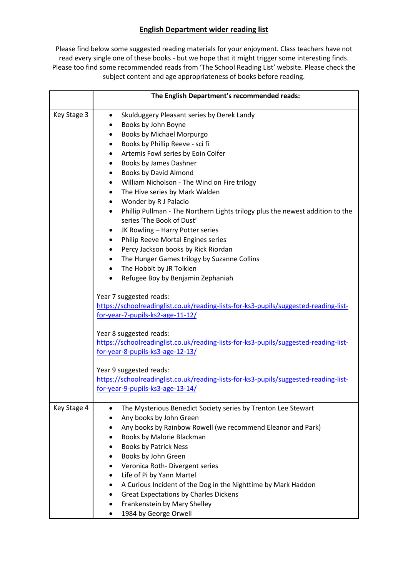## **English Department wider reading list**

Please find below some suggested reading materials for your enjoyment. Class teachers have not read every single one of these books - but we hope that it might trigger some interesting finds. Please too find some recommended reads from 'The School Reading List' website. Please check the subject content and age appropriateness of books before reading.

|             | The English Department's recommended reads:                                                                                                                                                                                                                                                                                                                                                                                                                                                                                                                                                                                                                                                                                                                      |
|-------------|------------------------------------------------------------------------------------------------------------------------------------------------------------------------------------------------------------------------------------------------------------------------------------------------------------------------------------------------------------------------------------------------------------------------------------------------------------------------------------------------------------------------------------------------------------------------------------------------------------------------------------------------------------------------------------------------------------------------------------------------------------------|
| Key Stage 3 | Skulduggery Pleasant series by Derek Landy<br>$\bullet$<br>Books by John Boyne<br>Books by Michael Morpurgo<br>Books by Phillip Reeve - sci fi<br>Artemis Fowl series by Eoin Colfer<br>Books by James Dashner<br>٠<br>Books by David Almond<br>٠<br>William Nicholson - The Wind on Fire trilogy<br>٠<br>The Hive series by Mark Walden<br>٠<br>Wonder by R J Palacio<br>٠<br>Phillip Pullman - The Northern Lights trilogy plus the newest addition to the<br>٠<br>series 'The Book of Dust'<br>JK Rowling - Harry Potter series<br>٠<br>Philip Reeve Mortal Engines series<br>٠<br>Percy Jackson books by Rick Riordan<br>٠<br>The Hunger Games trilogy by Suzanne Collins<br>The Hobbit by JR Tolkien<br>٠<br>Refugee Boy by Benjamin Zephaniah<br>$\bullet$ |
|             | Year 7 suggested reads:<br>https://schoolreadinglist.co.uk/reading-lists-for-ks3-pupils/suggested-reading-list-<br>for-year-7-pupils-ks2-age-11-12/<br>Year 8 suggested reads:<br>https://schoolreadinglist.co.uk/reading-lists-for-ks3-pupils/suggested-reading-list-<br>for-year-8-pupils-ks3-age-12-13/<br>Year 9 suggested reads:<br>https://schoolreadinglist.co.uk/reading-lists-for-ks3-pupils/suggested-reading-list-<br>for-year-9-pupils-ks3-age-13-14/                                                                                                                                                                                                                                                                                                |
| Key Stage 4 | The Mysterious Benedict Society series by Trenton Lee Stewart<br>Any books by John Green<br>Any books by Rainbow Rowell (we recommend Eleanor and Park)<br>Books by Malorie Blackman<br><b>Books by Patrick Ness</b><br>Books by John Green<br>Veronica Roth-Divergent series<br>Life of Pi by Yann Martel<br>A Curious Incident of the Dog in the Nighttime by Mark Haddon<br><b>Great Expectations by Charles Dickens</b><br>Frankenstein by Mary Shelley<br>1984 by George Orwell                                                                                                                                                                                                                                                                             |